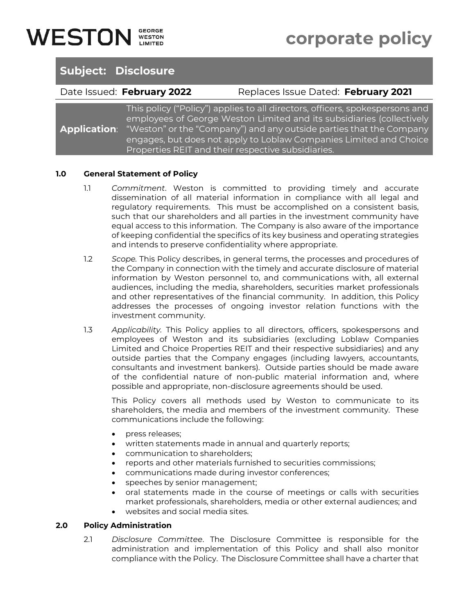# **Subject: Disclosure**

Date Issued: **February 2022** Replaces Issue Dated: **February 2021**

**Application**: This policy ("Policy") applies to all directors, officers, spokespersons and employees of George Weston Limited and its subsidiaries (collectively "Weston" or the "Company") and any outside parties that the Company engages, but does not apply to Loblaw Companies Limited and Choice Properties REIT and their respective subsidiaries.

### **1.0 General Statement of Policy**

- 1.1 *Commitment*. Weston is committed to providing timely and accurate dissemination of all material information in compliance with all legal and regulatory requirements. This must be accomplished on a consistent basis, such that our shareholders and all parties in the investment community have equal access to this information. The Company is also aware of the importance of keeping confidential the specifics of its key business and operating strategies and intends to preserve confidentiality where appropriate.
- 1.2 *Scope.* This Policy describes, in general terms, the processes and procedures of the Company in connection with the timely and accurate disclosure of material information by Weston personnel to, and communications with, all external audiences, including the media, shareholders, securities market professionals and other representatives of the financial community. In addition, this Policy addresses the processes of ongoing investor relation functions with the investment community.
- 1.3 *Applicability.* This Policy applies to all directors, officers, spokespersons and employees of Weston and its subsidiaries (excluding Loblaw Companies Limited and Choice Properties REIT and their respective subsidiaries) and any outside parties that the Company engages (including lawyers, accountants, consultants and investment bankers). Outside parties should be made aware of the confidential nature of non-public material information and, where possible and appropriate, non-disclosure agreements should be used.

This Policy covers all methods used by Weston to communicate to its shareholders, the media and members of the investment community. These communications include the following:

- press releases;
- written statements made in annual and quarterly reports;
- communication to shareholders;
- reports and other materials furnished to securities commissions;
- communications made during investor conferences;
- speeches by senior management;
- oral statements made in the course of meetings or calls with securities market professionals, shareholders, media or other external audiences; and
- websites and social media sites.

#### **2.0 Policy Administration**

2.1 *Disclosure Committee*. The Disclosure Committee is responsible for the administration and implementation of this Policy and shall also monitor compliance with the Policy. The Disclosure Committee shall have a charter that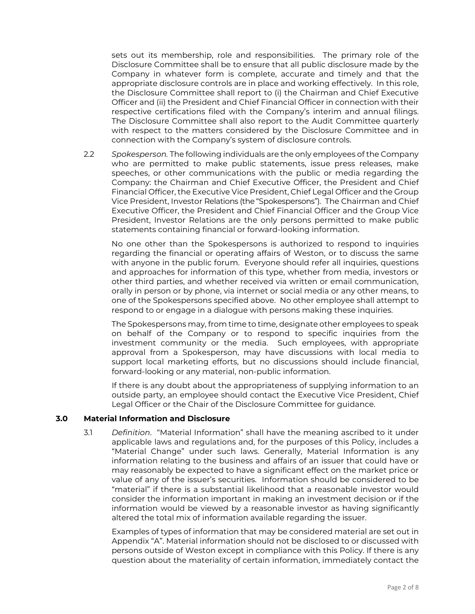sets out its membership, role and responsibilities. The primary role of the Disclosure Committee shall be to ensure that all public disclosure made by the Company in whatever form is complete, accurate and timely and that the appropriate disclosure controls are in place and working effectively. In this role, the Disclosure Committee shall report to (i) the Chairman and Chief Executive Officer and (ii) the President and Chief Financial Officer in connection with their respective certifications filed with the Company's interim and annual filings. The Disclosure Committee shall also report to the Audit Committee quarterly with respect to the matters considered by the Disclosure Committee and in connection with the Company's system of disclosure controls.

2.2 *Spokesperson.* The following individuals are the only employees of the Company who are permitted to make public statements, issue press releases, make speeches, or other communications with the public or media regarding the Company: the Chairman and Chief Executive Officer, the President and Chief Financial Officer, the Executive Vice President, Chief Legal Officer and the Group Vice President, Investor Relations (the "Spokespersons"). The Chairman and Chief Executive Officer, the President and Chief Financial Officer and the Group Vice President, Investor Relations are the only persons permitted to make public statements containing financial or forward-looking information.

No one other than the Spokespersons is authorized to respond to inquiries regarding the financial or operating affairs of Weston, or to discuss the same with anyone in the public forum. Everyone should refer all inquiries, questions and approaches for information of this type, whether from media, investors or other third parties, and whether received via written or email communication, orally in person or by phone, via internet or social media or any other means, to one of the Spokespersons specified above. No other employee shall attempt to respond to or engage in a dialogue with persons making these inquiries.

The Spokespersons may, from time to time, designate other employees to speak on behalf of the Company or to respond to specific inquiries from the investment community or the media. Such employees, with appropriate approval from a Spokesperson, may have discussions with local media to support local marketing efforts, but no discussions should include financial, forward-looking or any material, non-public information.

If there is any doubt about the appropriateness of supplying information to an outside party, an employee should contact the Executive Vice President, Chief Legal Officer or the Chair of the Disclosure Committee for guidance.

#### **3.0 Material Information and Disclosure**

3.1 *Definition*. "Material Information" shall have the meaning ascribed to it under applicable laws and regulations and, for the purposes of this Policy, includes a "Material Change" under such laws. Generally, Material Information is any information relating to the business and affairs of an issuer that could have or may reasonably be expected to have a significant effect on the market price or value of any of the issuer's securities. Information should be considered to be "material" if there is a substantial likelihood that a reasonable investor would consider the information important in making an investment decision or if the information would be viewed by a reasonable investor as having significantly altered the total mix of information available regarding the issuer.

Examples of types of information that may be considered material are set out in Appendix "A". Material information should not be disclosed to or discussed with persons outside of Weston except in compliance with this Policy. If there is any question about the materiality of certain information, immediately contact the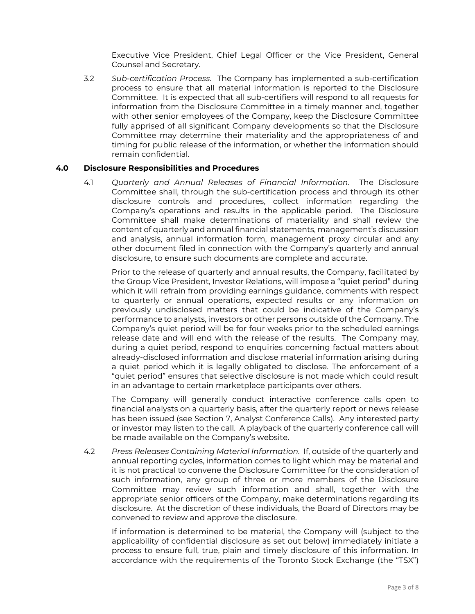Executive Vice President, Chief Legal Officer or the Vice President, General Counsel and Secretary.

3.2 *Sub-certification Process*. The Company has implemented a sub-certification process to ensure that all material information is reported to the Disclosure Committee. It is expected that all sub-certifiers will respond to all requests for information from the Disclosure Committee in a timely manner and, together with other senior employees of the Company, keep the Disclosure Committee fully apprised of all significant Company developments so that the Disclosure Committee may determine their materiality and the appropriateness of and timing for public release of the information, or whether the information should remain confidential.

#### **4.0 Disclosure Responsibilities and Procedures**

4.1 *Quarterly and Annual Releases of Financial Information*. The Disclosure Committee shall, through the sub-certification process and through its other disclosure controls and procedures, collect information regarding the Company's operations and results in the applicable period. The Disclosure Committee shall make determinations of materiality and shall review the content of quarterly and annual financial statements, management's discussion and analysis, annual information form, management proxy circular and any other document filed in connection with the Company's quarterly and annual disclosure, to ensure such documents are complete and accurate.

Prior to the release of quarterly and annual results, the Company, facilitated by the Group Vice President, Investor Relations, will impose a "quiet period" during which it will refrain from providing earnings guidance, comments with respect to quarterly or annual operations, expected results or any information on previously undisclosed matters that could be indicative of the Company's performance to analysts, investors or other persons outside of the Company. The Company's quiet period will be for four weeks prior to the scheduled earnings release date and will end with the release of the results. The Company may, during a quiet period, respond to enquiries concerning factual matters about already-disclosed information and disclose material information arising during a quiet period which it is legally obligated to disclose. The enforcement of a "quiet period" ensures that selective disclosure is not made which could result in an advantage to certain marketplace participants over others.

The Company will generally conduct interactive conference calls open to financial analysts on a quarterly basis, after the quarterly report or news release has been issued (see Section 7, Analyst Conference Calls). Any interested party or investor may listen to the call. A playback of the quarterly conference call will be made available on the Company's website.

4.2 *Press Releases Containing Material Information.* If, outside of the quarterly and annual reporting cycles, information comes to light which may be material and it is not practical to convene the Disclosure Committee for the consideration of such information, any group of three or more members of the Disclosure Committee may review such information and shall, together with the appropriate senior officers of the Company, make determinations regarding its disclosure. At the discretion of these individuals, the Board of Directors may be convened to review and approve the disclosure.

If information is determined to be material, the Company will (subject to the applicability of confidential disclosure as set out below) immediately initiate a process to ensure full, true, plain and timely disclosure of this information. In accordance with the requirements of the Toronto Stock Exchange (the "TSX")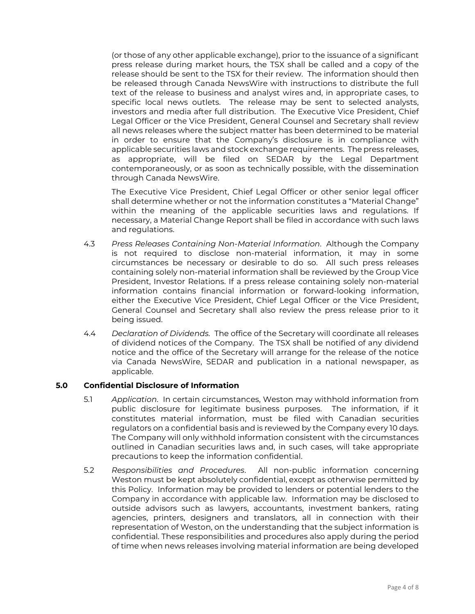(or those of any other applicable exchange), prior to the issuance of a significant press release during market hours, the TSX shall be called and a copy of the release should be sent to the TSX for their review. The information should then be released through Canada NewsWire with instructions to distribute the full text of the release to business and analyst wires and, in appropriate cases, to specific local news outlets. The release may be sent to selected analysts, investors and media after full distribution. The Executive Vice President, Chief Legal Officer or the Vice President, General Counsel and Secretary shall review all news releases where the subject matter has been determined to be material in order to ensure that the Company's disclosure is in compliance with applicable securities laws and stock exchange requirements. The press releases, as appropriate, will be filed on SEDAR by the Legal Department contemporaneously, or as soon as technically possible, with the dissemination through Canada NewsWire.

The Executive Vice President, Chief Legal Officer or other senior legal officer shall determine whether or not the information constitutes a "Material Change" within the meaning of the applicable securities laws and regulations. If necessary, a Material Change Report shall be filed in accordance with such laws and regulations.

- 4.3 *Press Releases Containing Non-Material Information*. Although the Company is not required to disclose non-material information, it may in some circumstances be necessary or desirable to do so. All such press releases containing solely non-material information shall be reviewed by the Group Vice President, Investor Relations. If a press release containing solely non-material information contains financial information or forward-looking information, either the Executive Vice President, Chief Legal Officer or the Vice President, General Counsel and Secretary shall also review the press release prior to it being issued.
- 4.4 *Declaration of Dividends.* The office of the Secretary will coordinate all releases of dividend notices of the Company. The TSX shall be notified of any dividend notice and the office of the Secretary will arrange for the release of the notice via Canada NewsWire, SEDAR and publication in a national newspaper, as applicable.

#### **5.0 Confidential Disclosure of Information**

- 5.1 *Application*. In certain circumstances, Weston may withhold information from public disclosure for legitimate business purposes. The information, if it constitutes material information, must be filed with Canadian securities regulators on a confidential basis and is reviewed by the Company every 10 days. The Company will only withhold information consistent with the circumstances outlined in Canadian securities laws and, in such cases, will take appropriate precautions to keep the information confidential.
- 5.2 *Responsibilities and Procedures*. All non-public information concerning Weston must be kept absolutely confidential, except as otherwise permitted by this Policy. Information may be provided to lenders or potential lenders to the Company in accordance with applicable law. Information may be disclosed to outside advisors such as lawyers, accountants, investment bankers, rating agencies, printers, designers and translators, all in connection with their representation of Weston, on the understanding that the subject information is confidential. These responsibilities and procedures also apply during the period of time when news releases involving material information are being developed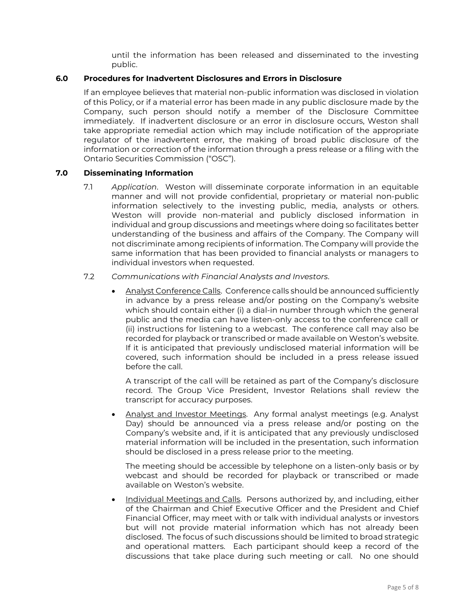until the information has been released and disseminated to the investing public.

#### **6.0 Procedures for Inadvertent Disclosures and Errors in Disclosure**

If an employee believes that material non-public information was disclosed in violation of this Policy, or if a material error has been made in any public disclosure made by the Company, such person should notify a member of the Disclosure Committee immediately. If inadvertent disclosure or an error in disclosure occurs, Weston shall take appropriate remedial action which may include notification of the appropriate regulator of the inadvertent error, the making of broad public disclosure of the information or correction of the information through a press release or a filing with the Ontario Securities Commission ("OSC").

#### **7.0 Disseminating Information**

7.1 *Application*. Weston will disseminate corporate information in an equitable manner and will not provide confidential, proprietary or material non-public information selectively to the investing public, media, analysts or others. Weston will provide non-material and publicly disclosed information in individual and group discussions and meetings where doing so facilitates better understanding of the business and affairs of the Company. The Company will not discriminate among recipients of information. The Company will provide the same information that has been provided to financial analysts or managers to individual investors when requested.

#### 7.2 *Communications with Financial Analysts and Investors*.

• Analyst Conference Calls. Conference calls should be announced sufficiently in advance by a press release and/or posting on the Company's website which should contain either (i) a dial-in number through which the general public and the media can have listen-only access to the conference call or (ii) instructions for listening to a webcast. The conference call may also be recorded for playback or transcribed or made available on Weston's website. If it is anticipated that previously undisclosed material information will be covered, such information should be included in a press release issued before the call.

A transcript of the call will be retained as part of the Company's disclosure record. The Group Vice President, Investor Relations shall review the transcript for accuracy purposes.

• Analyst and Investor Meetings. Any formal analyst meetings (e.g. Analyst Day) should be announced via a press release and/or posting on the Company's website and, if it is anticipated that any previously undisclosed material information will be included in the presentation, such information should be disclosed in a press release prior to the meeting.

The meeting should be accessible by telephone on a listen-only basis or by webcast and should be recorded for playback or transcribed or made available on Weston's website.

• Individual Meetings and Calls. Persons authorized by, and including, either of the Chairman and Chief Executive Officer and the President and Chief Financial Officer, may meet with or talk with individual analysts or investors but will not provide material information which has not already been disclosed. The focus of such discussions should be limited to broad strategic and operational matters. Each participant should keep a record of the discussions that take place during such meeting or call. No one should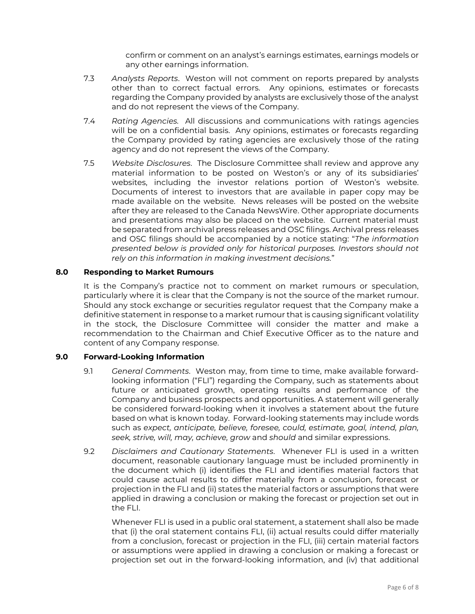confirm or comment on an analyst's earnings estimates, earnings models or any other earnings information.

- 7.3 *Analysts Reports*. Weston will not comment on reports prepared by analysts other than to correct factual errors. Any opinions, estimates or forecasts regarding the Company provided by analysts are exclusively those of the analyst and do not represent the views of the Company.
- 7.4 *Rating Agencies.* All discussions and communications with ratings agencies will be on a confidential basis. Any opinions, estimates or forecasts regarding the Company provided by rating agencies are exclusively those of the rating agency and do not represent the views of the Company.
- 7.5 *Website Disclosures*. The Disclosure Committee shall review and approve any material information to be posted on Weston's or any of its subsidiaries' websites, including the investor relations portion of Weston's website. Documents of interest to investors that are available in paper copy may be made available on the website. News releases will be posted on the website after they are released to the Canada NewsWire. Other appropriate documents and presentations may also be placed on the website. Current material must be separated from archival press releases and OSC filings. Archival press releases and OSC filings should be accompanied by a notice stating: "*The information presented below is provided only for historical purposes. Investors should not rely on this information in making investment decisions.*"

#### **8.0 Responding to Market Rumours**

It is the Company's practice not to comment on market rumours or speculation, particularly where it is clear that the Company is not the source of the market rumour. Should any stock exchange or securities regulator request that the Company make a definitive statement in response to a market rumour that is causing significant volatility in the stock, the Disclosure Committee will consider the matter and make a recommendation to the Chairman and Chief Executive Officer as to the nature and content of any Company response.

#### **9.0 Forward-Looking Information**

- 9.1 *General Comments*. Weston may, from time to time, make available forwardlooking information ("FLI") regarding the Company, such as statements about future or anticipated growth, operating results and performance of the Company and business prospects and opportunities. A statement will generally be considered forward-looking when it involves a statement about the future based on what is known today. Forward-looking statements may include words such as *expect, anticipate, believe, foresee, could, estimate, goal, intend, plan, seek, strive, will, may, achieve, grow* and *should* and similar expressions.
- 9.2 *Disclaimers and Cautionary Statements*. Whenever FLI is used in a written document, reasonable cautionary language must be included prominently in the document which (i) identifies the FLI and identifies material factors that could cause actual results to differ materially from a conclusion, forecast or projection in the FLI and (ii) states the material factors or assumptions that were applied in drawing a conclusion or making the forecast or projection set out in the FLI.

Whenever FLI is used in a public oral statement, a statement shall also be made that (i) the oral statement contains FLI, (ii) actual results could differ materially from a conclusion, forecast or projection in the FLI, (iii) certain material factors or assumptions were applied in drawing a conclusion or making a forecast or projection set out in the forward-looking information, and (iv) that additional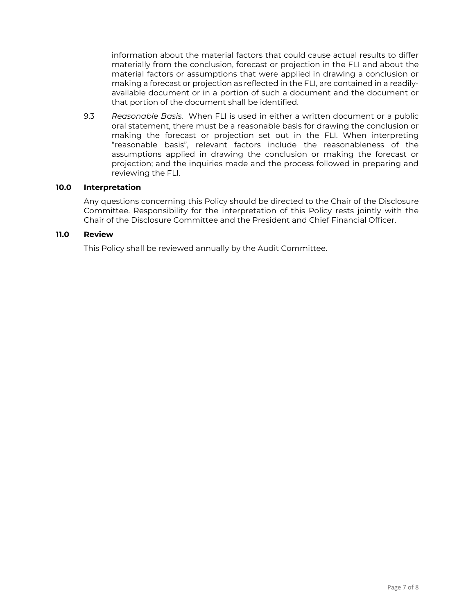information about the material factors that could cause actual results to differ materially from the conclusion, forecast or projection in the FLI and about the material factors or assumptions that were applied in drawing a conclusion or making a forecast or projection as reflected in the FLI, are contained in a readilyavailable document or in a portion of such a document and the document or that portion of the document shall be identified.

9.3 *Reasonable Basis.* When FLI is used in either a written document or a public oral statement, there must be a reasonable basis for drawing the conclusion or making the forecast or projection set out in the FLI. When interpreting "reasonable basis", relevant factors include the reasonableness of the assumptions applied in drawing the conclusion or making the forecast or projection; and the inquiries made and the process followed in preparing and reviewing the FLI.

#### **10.0 Interpretation**

Any questions concerning this Policy should be directed to the Chair of the Disclosure Committee. Responsibility for the interpretation of this Policy rests jointly with the Chair of the Disclosure Committee and the President and Chief Financial Officer.

### **11.0 Review**

This Policy shall be reviewed annually by the Audit Committee.